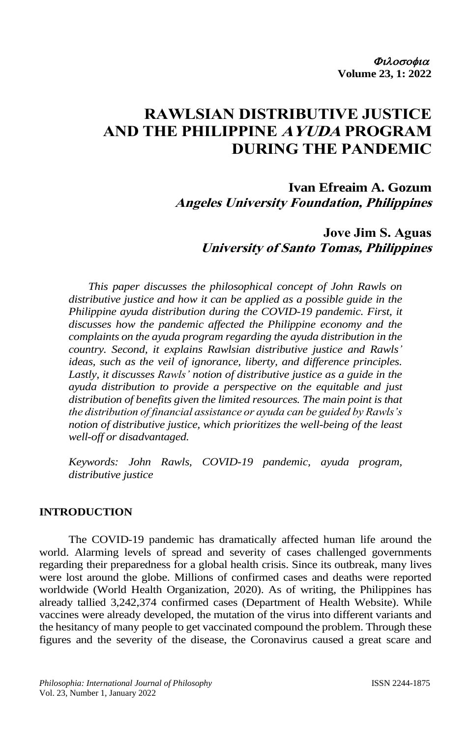# **RAWLSIAN DISTRIBUTIVE JUSTICE AND THE PHILIPPINE AYUDA PROGRAM DURING THE PANDEMIC**

**Ivan Efreaim A. Gozum Angeles University Foundation, Philippines**

> **Jove Jim S. Aguas University of Santo Tomas, Philippines**

*This paper discusses the philosophical concept of John Rawls on distributive justice and how it can be applied as a possible guide in the Philippine ayuda distribution during the COVID-19 pandemic. First, it discusses how the pandemic affected the Philippine economy and the complaints on the ayuda program regarding the ayuda distribution in the country. Second, it explains Rawlsian distributive justice and Rawls' ideas, such as the veil of ignorance, liberty, and difference principles. Lastly, it discusses Rawls' notion of distributive justice as a guide in the ayuda distribution to provide a perspective on the equitable and just distribution of benefits given the limited resources. The main point is that the distribution of financial assistance or ayuda can be guided by Rawls's notion of distributive justice, which prioritizes the well-being of the least well-off or disadvantaged.*

*Keywords: John Rawls, COVID-19 pandemic, ayuda program, distributive justice*

#### **INTRODUCTION**

The COVID-19 pandemic has dramatically affected human life around the world. Alarming levels of spread and severity of cases challenged governments regarding their preparedness for a global health crisis. Since its outbreak, many lives were lost around the globe. Millions of confirmed cases and deaths were reported worldwide (World Health Organization, 2020). As of writing, the Philippines has already tallied 3,242,374 confirmed cases (Department of Health Website). While vaccines were already developed, the mutation of the virus into different variants and the hesitancy of many people to get vaccinated compound the problem. Through these figures and the severity of the disease, the Coronavirus caused a great scare and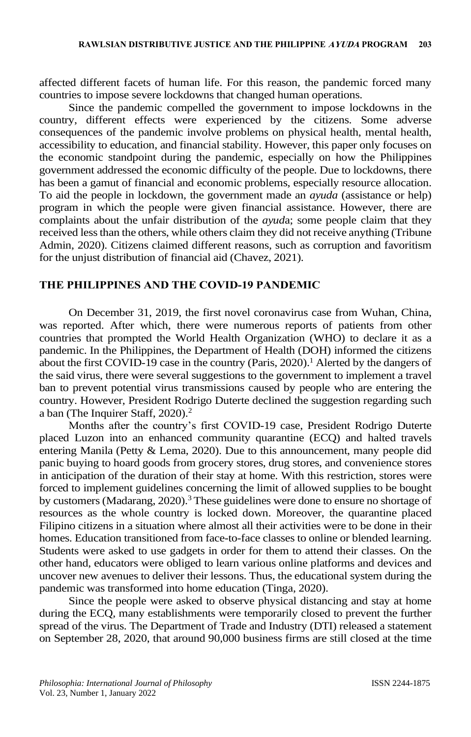affected different facets of human life. For this reason, the pandemic forced many countries to impose severe lockdowns that changed human operations.

Since the pandemic compelled the government to impose lockdowns in the country, different effects were experienced by the citizens. Some adverse consequences of the pandemic involve problems on physical health, mental health, accessibility to education, and financial stability. However, this paper only focuses on the economic standpoint during the pandemic, especially on how the Philippines government addressed the economic difficulty of the people. Due to lockdowns, there has been a gamut of financial and economic problems, especially resource allocation. To aid the people in lockdown, the government made an *ayuda* (assistance or help) program in which the people were given financial assistance. However, there are complaints about the unfair distribution of the *ayud*a; some people claim that they received less than the others, while others claim they did not receive anything (Tribune Admin, 2020). Citizens claimed different reasons, such as corruption and favoritism for the unjust distribution of financial aid (Chavez, 2021).

#### **THE PHILIPPINES AND THE COVID-19 PANDEMIC**

On December 31, 2019, the first novel coronavirus case from Wuhan, China, was reported. After which, there were numerous reports of patients from other countries that prompted the World Health Organization (WHO) to declare it as a pandemic. In the Philippines, the Department of Health (DOH) informed the citizens about the first COVID-19 case in the country (Paris, 2020).<sup>1</sup> Alerted by the dangers of the said virus, there were several suggestions to the government to implement a travel ban to prevent potential virus transmissions caused by people who are entering the country. However, President Rodrigo Duterte declined the suggestion regarding such a ban (The Inquirer Staff, 2020).<sup>2</sup>

Months after the country's first COVID-19 case, President Rodrigo Duterte placed Luzon into an enhanced community quarantine (ECQ) and halted travels entering Manila (Petty & Lema, 2020). Due to this announcement, many people did panic buying to hoard goods from grocery stores, drug stores, and convenience stores in anticipation of the duration of their stay at home. With this restriction, stores were forced to implement guidelines concerning the limit of allowed supplies to be bought by customers (Madarang, 2020).<sup>3</sup> These guidelines were done to ensure no shortage of resources as the whole country is locked down. Moreover, the quarantine placed Filipino citizens in a situation where almost all their activities were to be done in their homes. Education transitioned from face-to-face classes to online or blended learning. Students were asked to use gadgets in order for them to attend their classes. On the other hand, educators were obliged to learn various online platforms and devices and uncover new avenues to deliver their lessons. Thus, the educational system during the pandemic was transformed into home education (Tinga, 2020).

Since the people were asked to observe physical distancing and stay at home during the ECQ, many establishments were temporarily closed to prevent the further spread of the virus. The Department of Trade and Industry (DTI) released a statement on September 28, 2020, that around 90,000 business firms are still closed at the time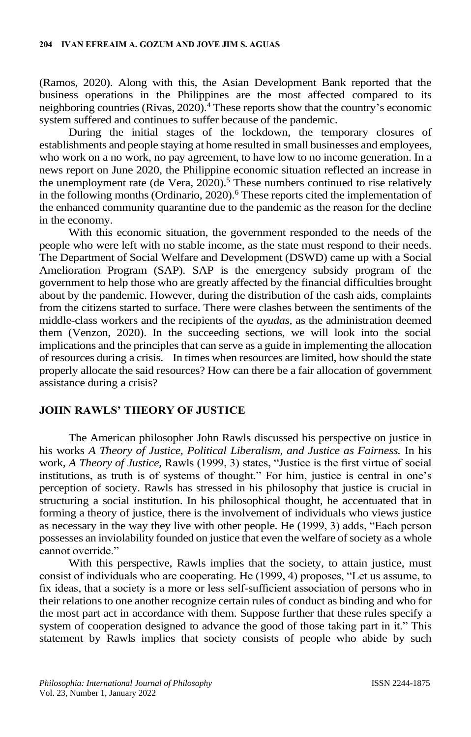(Ramos, 2020). Along with this, the Asian Development Bank reported that the business operations in the Philippines are the most affected compared to its neighboring countries (Rivas, 2020).<sup>4</sup> These reports show that the country's economic system suffered and continues to suffer because of the pandemic.

During the initial stages of the lockdown, the temporary closures of establishments and people staying at home resulted in small businesses and employees, who work on a no work, no pay agreement, to have low to no income generation. In a news report on June 2020, the Philippine economic situation reflected an increase in the unemployment rate (de Vera,  $2020$ ).<sup>5</sup> These numbers continued to rise relatively in the following months (Ordinario,  $2020$ ).<sup>6</sup> These reports cited the implementation of the enhanced community quarantine due to the pandemic as the reason for the decline in the economy.

With this economic situation, the government responded to the needs of the people who were left with no stable income, as the state must respond to their needs. The Department of Social Welfare and Development (DSWD) came up with a Social Amelioration Program (SAP). SAP is the emergency subsidy program of the government to help those who are greatly affected by the financial difficulties brought about by the pandemic. However, during the distribution of the cash aids, complaints from the citizens started to surface. There were clashes between the sentiments of the middle-class workers and the recipients of the *ayudas,* as the administration deemed them (Venzon, 2020). In the succeeding sections, we will look into the social implications and the principles that can serve as a guide in implementing the allocation of resources during a crisis. In times when resources are limited, how should the state properly allocate the said resources? How can there be a fair allocation of government assistance during a crisis?

## **JOHN RAWLS' THEORY OF JUSTICE**

The American philosopher John Rawls discussed his perspective on justice in his works *A Theory of Justice, Political Liberalism, and Justice as Fairness.* In his work, *A Theory of Justice,* Rawls (1999, 3) states, "Justice is the first virtue of social institutions, as truth is of systems of thought." For him, justice is central in one's perception of society. Rawls has stressed in his philosophy that justice is crucial in structuring a social institution. In his philosophical thought, he accentuated that in forming a theory of justice, there is the involvement of individuals who views justice as necessary in the way they live with other people. He (1999, 3) adds, "Each person possesses an inviolability founded on justice that even the welfare of society as a whole cannot override."

With this perspective, Rawls implies that the society, to attain justice, must consist of individuals who are cooperating. He (1999, 4) proposes, "Let us assume, to fix ideas, that a society is a more or less self-sufficient association of persons who in their relations to one another recognize certain rules of conduct as binding and who for the most part act in accordance with them. Suppose further that these rules specify a system of cooperation designed to advance the good of those taking part in it." This statement by Rawls implies that society consists of people who abide by such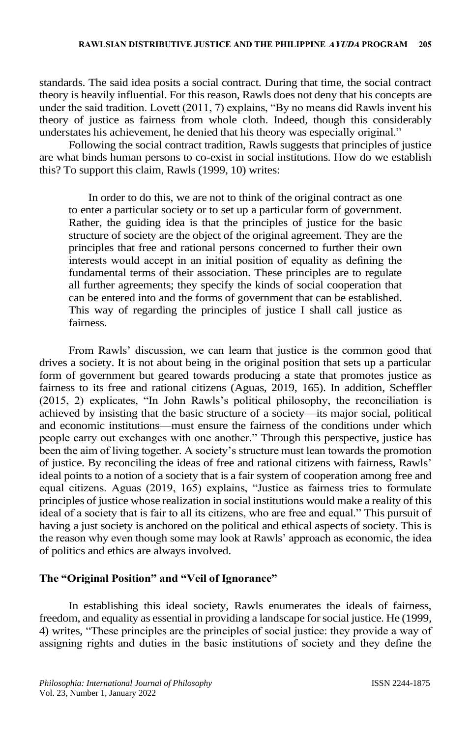standards. The said idea posits a social contract. During that time, the social contract theory is heavily influential. For this reason, Rawls does not deny that his concepts are under the said tradition. Lovett (2011, 7) explains, "By no means did Rawls invent his theory of justice as fairness from whole cloth. Indeed, though this considerably understates his achievement, he denied that his theory was especially original."

Following the social contract tradition, Rawls suggests that principles of justice are what binds human persons to co-exist in social institutions. How do we establish this? To support this claim, Rawls (1999, 10) writes:

In order to do this, we are not to think of the original contract as one to enter a particular society or to set up a particular form of government. Rather, the guiding idea is that the principles of justice for the basic structure of society are the object of the original agreement. They are the principles that free and rational persons concerned to further their own interests would accept in an initial position of equality as defining the fundamental terms of their association. These principles are to regulate all further agreements; they specify the kinds of social cooperation that can be entered into and the forms of government that can be established. This way of regarding the principles of justice I shall call justice as fairness.

From Rawls' discussion, we can learn that justice is the common good that drives a society. It is not about being in the original position that sets up a particular form of government but geared towards producing a state that promotes justice as fairness to its free and rational citizens (Aguas, 2019, 165). In addition, Scheffler (2015, 2) explicates, "In John Rawls's political philosophy, the reconciliation is achieved by insisting that the basic structure of a society—its major social, political and economic institutions—must ensure the fairness of the conditions under which people carry out exchanges with one another." Through this perspective, justice has been the aim of living together. A society's structure must lean towards the promotion of justice. By reconciling the ideas of free and rational citizens with fairness, Rawls' ideal points to a notion of a society that is a fair system of cooperation among free and equal citizens. Aguas (2019, 165) explains, "Justice as fairness tries to formulate principles of justice whose realization in social institutions would make a reality of this ideal of a society that is fair to all its citizens, who are free and equal." This pursuit of having a just society is anchored on the political and ethical aspects of society. This is the reason why even though some may look at Rawls' approach as economic, the idea of politics and ethics are always involved.

## **The "Original Position" and "Veil of Ignorance"**

In establishing this ideal society, Rawls enumerates the ideals of fairness, freedom, and equality as essential in providing a landscape for social justice. He (1999, 4) writes, "These principles are the principles of social justice: they provide a way of assigning rights and duties in the basic institutions of society and they define the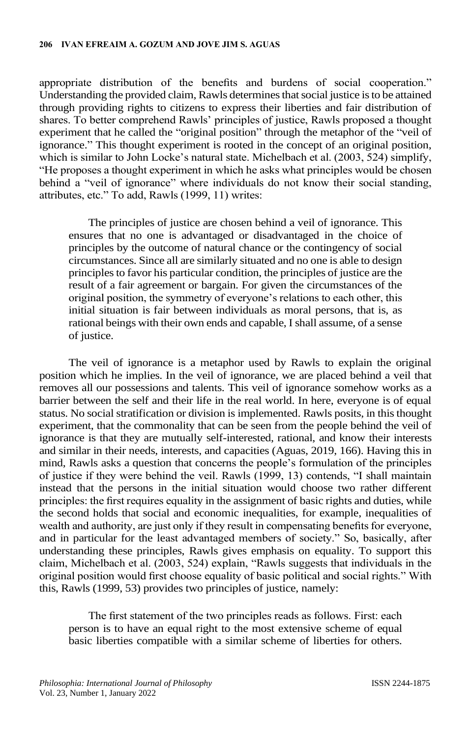appropriate distribution of the benefits and burdens of social cooperation." Understanding the provided claim, Rawls determines that social justice is to be attained through providing rights to citizens to express their liberties and fair distribution of shares. To better comprehend Rawls' principles of justice, Rawls proposed a thought experiment that he called the "original position" through the metaphor of the "veil of ignorance." This thought experiment is rooted in the concept of an original position, which is similar to John Locke's natural state. Michelbach et al. (2003, 524) simplify, "He proposes a thought experiment in which he asks what principles would be chosen behind a "veil of ignorance" where individuals do not know their social standing, attributes, etc." To add, Rawls (1999, 11) writes:

The principles of justice are chosen behind a veil of ignorance. This ensures that no one is advantaged or disadvantaged in the choice of principles by the outcome of natural chance or the contingency of social circumstances. Since all are similarly situated and no one is able to design principles to favor his particular condition, the principles of justice are the result of a fair agreement or bargain. For given the circumstances of the original position, the symmetry of everyone's relations to each other, this initial situation is fair between individuals as moral persons, that is, as rational beings with their own ends and capable, I shall assume, of a sense of justice.

The veil of ignorance is a metaphor used by Rawls to explain the original position which he implies. In the veil of ignorance, we are placed behind a veil that removes all our possessions and talents. This veil of ignorance somehow works as a barrier between the self and their life in the real world. In here, everyone is of equal status. No social stratification or division is implemented. Rawls posits, in this thought experiment, that the commonality that can be seen from the people behind the veil of ignorance is that they are mutually self-interested, rational, and know their interests and similar in their needs, interests, and capacities (Aguas, 2019, 166). Having this in mind, Rawls asks a question that concerns the people's formulation of the principles of justice if they were behind the veil. Rawls (1999, 13) contends, "I shall maintain instead that the persons in the initial situation would choose two rather different principles: the first requires equality in the assignment of basic rights and duties, while the second holds that social and economic inequalities, for example, inequalities of wealth and authority, are just only if they result in compensating benefits for everyone, and in particular for the least advantaged members of society." So, basically, after understanding these principles, Rawls gives emphasis on equality. To support this claim, Michelbach et al. (2003, 524) explain, "Rawls suggests that individuals in the original position would first choose equality of basic political and social rights." With this, Rawls (1999, 53) provides two principles of justice, namely:

The first statement of the two principles reads as follows. First: each person is to have an equal right to the most extensive scheme of equal basic liberties compatible with a similar scheme of liberties for others.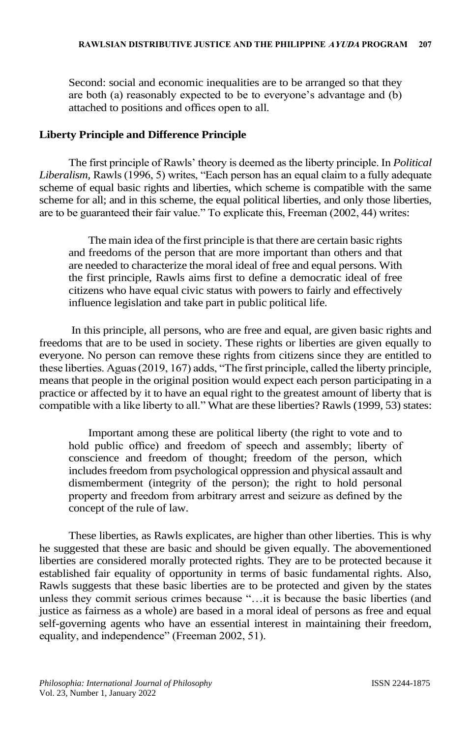Second: social and economic inequalities are to be arranged so that they are both (a) reasonably expected to be to everyone's advantage and (b) attached to positions and offices open to all.

### **Liberty Principle and Difference Principle**

The first principle of Rawls' theory is deemed as the liberty principle. In *Political Liberalism,* Rawls (1996, 5) writes, "Each person has an equal claim to a fully adequate scheme of equal basic rights and liberties, which scheme is compatible with the same scheme for all; and in this scheme, the equal political liberties, and only those liberties, are to be guaranteed their fair value." To explicate this, Freeman (2002, 44) writes:

The main idea of the first principle is that there are certain basic rights and freedoms of the person that are more important than others and that are needed to characterize the moral ideal of free and equal persons. With the first principle, Rawls aims first to define a democratic ideal of free citizens who have equal civic status with powers to fairly and effectively influence legislation and take part in public political life.

In this principle, all persons, who are free and equal, are given basic rights and freedoms that are to be used in society. These rights or liberties are given equally to everyone. No person can remove these rights from citizens since they are entitled to these liberties. Aguas (2019, 167) adds, "The first principle, called the liberty principle, means that people in the original position would expect each person participating in a practice or affected by it to have an equal right to the greatest amount of liberty that is compatible with a like liberty to all." What are these liberties? Rawls (1999, 53) states:

Important among these are political liberty (the right to vote and to hold public office) and freedom of speech and assembly; liberty of conscience and freedom of thought; freedom of the person, which includes freedom from psychological oppression and physical assault and dismemberment (integrity of the person); the right to hold personal property and freedom from arbitrary arrest and seizure as defined by the concept of the rule of law.

These liberties, as Rawls explicates, are higher than other liberties. This is why he suggested that these are basic and should be given equally. The abovementioned liberties are considered morally protected rights. They are to be protected because it established fair equality of opportunity in terms of basic fundamental rights. Also, Rawls suggests that these basic liberties are to be protected and given by the states unless they commit serious crimes because "…it is because the basic liberties (and justice as fairness as a whole) are based in a moral ideal of persons as free and equal self-governing agents who have an essential interest in maintaining their freedom, equality, and independence" (Freeman 2002, 51).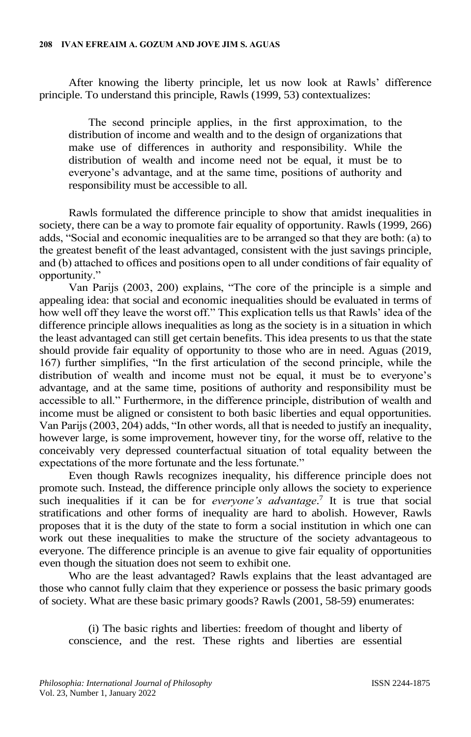After knowing the liberty principle, let us now look at Rawls' difference principle. To understand this principle, Rawls (1999, 53) contextualizes:

The second principle applies, in the first approximation, to the distribution of income and wealth and to the design of organizations that make use of differences in authority and responsibility. While the distribution of wealth and income need not be equal, it must be to everyone's advantage, and at the same time, positions of authority and responsibility must be accessible to all.

Rawls formulated the difference principle to show that amidst inequalities in society, there can be a way to promote fair equality of opportunity. Rawls (1999, 266) adds, "Social and economic inequalities are to be arranged so that they are both: (a) to the greatest benefit of the least advantaged, consistent with the just savings principle, and (b) attached to offices and positions open to all under conditions of fair equality of opportunity."

Van Parijs (2003, 200) explains, "The core of the principle is a simple and appealing idea: that social and economic inequalities should be evaluated in terms of how well off they leave the worst off." This explication tells us that Rawls' idea of the difference principle allows inequalities as long as the society is in a situation in which the least advantaged can still get certain benefits. This idea presents to us that the state should provide fair equality of opportunity to those who are in need. Aguas (2019, 167) further simplifies, "In the first articulation of the second principle, while the distribution of wealth and income must not be equal, it must be to everyone's advantage, and at the same time, positions of authority and responsibility must be accessible to all." Furthermore, in the difference principle, distribution of wealth and income must be aligned or consistent to both basic liberties and equal opportunities. Van Parijs (2003, 204) adds, "In other words, all that is needed to justify an inequality, however large, is some improvement, however tiny, for the worse off, relative to the conceivably very depressed counterfactual situation of total equality between the expectations of the more fortunate and the less fortunate."

Even though Rawls recognizes inequality, his difference principle does not promote such. Instead, the difference principle only allows the society to experience such inequalities if it can be for *everyone's advantage*. 7 It is true that social stratifications and other forms of inequality are hard to abolish. However, Rawls proposes that it is the duty of the state to form a social institution in which one can work out these inequalities to make the structure of the society advantageous to everyone. The difference principle is an avenue to give fair equality of opportunities even though the situation does not seem to exhibit one.

Who are the least advantaged? Rawls explains that the least advantaged are those who cannot fully claim that they experience or possess the basic primary goods of society. What are these basic primary goods? Rawls (2001, 58-59) enumerates:

(i) The basic rights and liberties: freedom of thought and liberty of conscience, and the rest. These rights and liberties are essential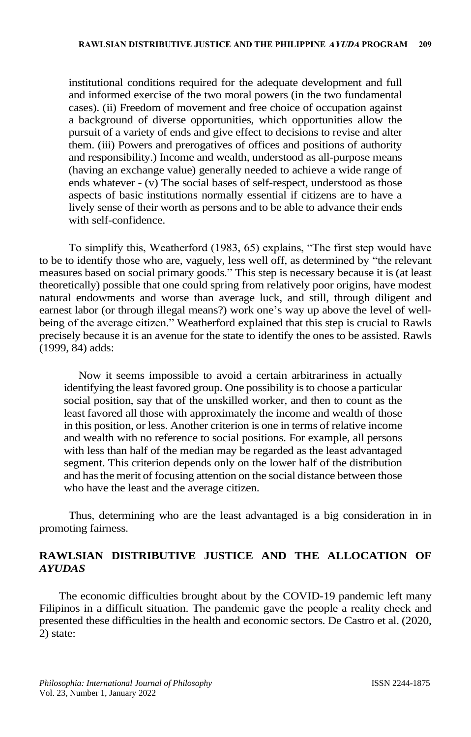institutional conditions required for the adequate development and full and informed exercise of the two moral powers (in the two fundamental cases). (ii) Freedom of movement and free choice of occupation against a background of diverse opportunities, which opportunities allow the pursuit of a variety of ends and give effect to decisions to revise and alter them. (iii) Powers and prerogatives of offices and positions of authority and responsibility.) Income and wealth, understood as all-purpose means (having an exchange value) generally needed to achieve a wide range of ends whatever - (v) The social bases of self-respect, understood as those aspects of basic institutions normally essential if citizens are to have a lively sense of their worth as persons and to be able to advance their ends with self-confidence.

To simplify this, Weatherford (1983, 65) explains, "The first step would have to be to identify those who are, vaguely, less well off, as determined by "the relevant measures based on social primary goods." This step is necessary because it is (at least theoretically) possible that one could spring from relatively poor origins, have modest natural endowments and worse than average luck, and still, through diligent and earnest labor (or through illegal means?) work one's way up above the level of wellbeing of the average citizen." Weatherford explained that this step is crucial to Rawls precisely because it is an avenue for the state to identify the ones to be assisted. Rawls (1999, 84) adds:

Now it seems impossible to avoid a certain arbitrariness in actually identifying the least favored group. One possibility is to choose a particular social position, say that of the unskilled worker, and then to count as the least favored all those with approximately the income and wealth of those in this position, or less. Another criterion is one in terms of relative income and wealth with no reference to social positions. For example, all persons with less than half of the median may be regarded as the least advantaged segment. This criterion depends only on the lower half of the distribution and has the merit of focusing attention on the social distance between those who have the least and the average citizen.

Thus, determining who are the least advantaged is a big consideration in in promoting fairness.

## **RAWLSIAN DISTRIBUTIVE JUSTICE AND THE ALLOCATION OF**  *AYUDAS*

The economic difficulties brought about by the COVID-19 pandemic left many Filipinos in a difficult situation. The pandemic gave the people a reality check and presented these difficulties in the health and economic sectors. De Castro et al. (2020, 2) state: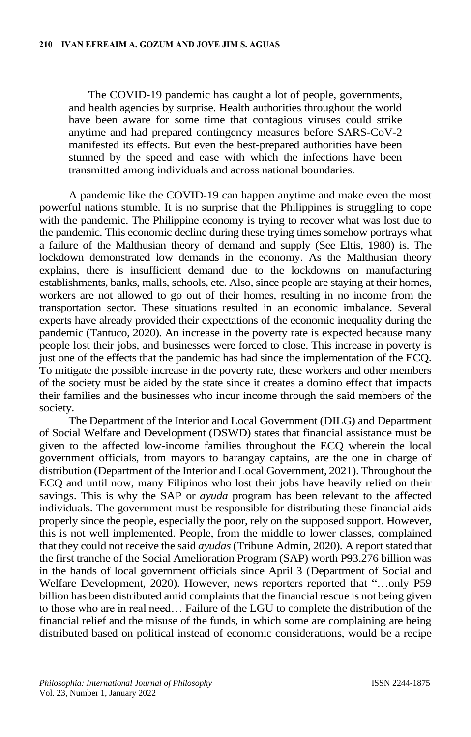The COVID-19 pandemic has caught a lot of people, governments, and health agencies by surprise. Health authorities throughout the world have been aware for some time that contagious viruses could strike anytime and had prepared contingency measures before SARS-CoV-2 manifested its effects. But even the best-prepared authorities have been stunned by the speed and ease with which the infections have been transmitted among individuals and across national boundaries.

A pandemic like the COVID-19 can happen anytime and make even the most powerful nations stumble. It is no surprise that the Philippines is struggling to cope with the pandemic. The Philippine economy is trying to recover what was lost due to the pandemic. This economic decline during these trying times somehow portrays what a failure of the Malthusian theory of demand and supply (See Eltis, 1980) is. The lockdown demonstrated low demands in the economy. As the Malthusian theory explains, there is insufficient demand due to the lockdowns on manufacturing establishments, banks, malls, schools, etc. Also, since people are staying at their homes, workers are not allowed to go out of their homes, resulting in no income from the transportation sector. These situations resulted in an economic imbalance. Several experts have already provided their expectations of the economic inequality during the pandemic (Tantuco, 2020). An increase in the poverty rate is expected because many people lost their jobs, and businesses were forced to close. This increase in poverty is just one of the effects that the pandemic has had since the implementation of the ECQ. To mitigate the possible increase in the poverty rate, these workers and other members of the society must be aided by the state since it creates a domino effect that impacts their families and the businesses who incur income through the said members of the society.

The Department of the Interior and Local Government (DILG) and Department of Social Welfare and Development (DSWD) states that financial assistance must be given to the affected low-income families throughout the ECQ wherein the local government officials, from mayors to barangay captains, are the one in charge of distribution (Department of the Interior and Local Government, 2021). Throughout the ECQ and until now, many Filipinos who lost their jobs have heavily relied on their savings. This is why the SAP or *ayuda* program has been relevant to the affected individuals. The government must be responsible for distributing these financial aids properly since the people, especially the poor, rely on the supposed support. However, this is not well implemented. People, from the middle to lower classes, complained that they could not receive the said *ayudas* (Tribune Admin, 2020). A report stated that the first tranche of the Social Amelioration Program (SAP) worth P93.276 billion was in the hands of local government officials since April 3 (Department of Social and Welfare Development, 2020). However, news reporters reported that "…only P59 billion has been distributed amid complaints that the financial rescue is not being given to those who are in real need… Failure of the LGU to complete the distribution of the financial relief and the misuse of the funds, in which some are complaining are being distributed based on political instead of economic considerations, would be a recipe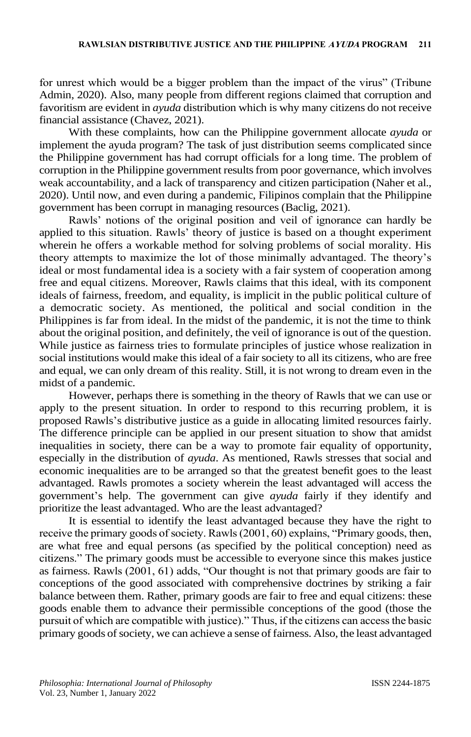for unrest which would be a bigger problem than the impact of the virus" (Tribune Admin, 2020). Also, many people from different regions claimed that corruption and favoritism are evident in *ayuda* distribution which is why many citizens do not receive financial assistance (Chavez, 2021).

With these complaints, how can the Philippine government allocate *ayuda* or implement the ayuda program? The task of just distribution seems complicated since the Philippine government has had corrupt officials for a long time. The problem of corruption in the Philippine government results from poor governance, which involves weak accountability, and a lack of transparency and citizen participation (Naher et al., 2020). Until now, and even during a pandemic, Filipinos complain that the Philippine government has been corrupt in managing resources (Baclig, 2021).

Rawls' notions of the original position and veil of ignorance can hardly be applied to this situation. Rawls' theory of justice is based on a thought experiment wherein he offers a workable method for solving problems of social morality. His theory attempts to maximize the lot of those minimally advantaged. The theory's ideal or most fundamental idea is a society with a fair system of cooperation among free and equal citizens. Moreover, Rawls claims that this ideal, with its component ideals of fairness, freedom, and equality, is implicit in the public political culture of a democratic society. As mentioned, the political and social condition in the Philippines is far from ideal. In the midst of the pandemic, it is not the time to think about the original position, and definitely, the veil of ignorance is out of the question. While justice as fairness tries to formulate principles of justice whose realization in social institutions would make this ideal of a fair society to all its citizens, who are free and equal, we can only dream of this reality. Still, it is not wrong to dream even in the midst of a pandemic.

However, perhaps there is something in the theory of Rawls that we can use or apply to the present situation. In order to respond to this recurring problem, it is proposed Rawls's distributive justice as a guide in allocating limited resources fairly. The difference principle can be applied in our present situation to show that amidst inequalities in society, there can be a way to promote fair equality of opportunity, especially in the distribution of *ayuda*. As mentioned, Rawls stresses that social and economic inequalities are to be arranged so that the greatest benefit goes to the least advantaged. Rawls promotes a society wherein the least advantaged will access the government's help. The government can give *ayuda* fairly if they identify and prioritize the least advantaged. Who are the least advantaged?

It is essential to identify the least advantaged because they have the right to receive the primary goods of society. Rawls (2001, 60) explains, "Primary goods, then, are what free and equal persons (as specified by the political conception) need as citizens." The primary goods must be accessible to everyone since this makes justice as fairness. Rawls (2001, 61) adds, "Our thought is not that primary goods are fair to conceptions of the good associated with comprehensive doctrines by striking a fair balance between them. Rather, primary goods are fair to free and equal citizens: these goods enable them to advance their permissible conceptions of the good (those the pursuit of which are compatible with justice)." Thus, if the citizens can access the basic primary goods of society, we can achieve a sense of fairness. Also, the least advantaged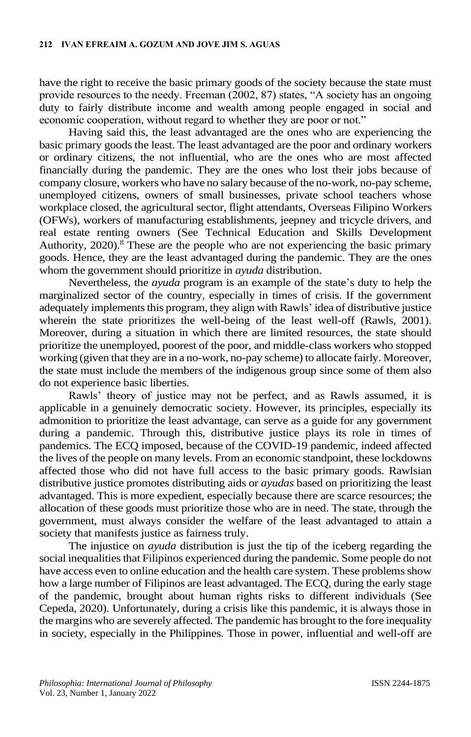have the right to receive the basic primary goods of the society because the state must provide resources to the needy. Freeman (2002, 87) states, "A society has an ongoing duty to fairly distribute income and wealth among people engaged in social and economic cooperation, without regard to whether they are poor or not."

Having said this, the least advantaged are the ones who are experiencing the basic primary goods the least. The least advantaged are the poor and ordinary workers or ordinary citizens, the not influential, who are the ones who are most affected financially during the pandemic. They are the ones who lost their jobs because of company closure, workers who have no salary because of the no-work, no-pay scheme, unemployed citizens, owners of small businesses, private school teachers whose workplace closed, the agricultural sector, flight attendants, Overseas Filipino Workers (OFWs), workers of manufacturing establishments, jeepney and tricycle drivers, and real estate renting owners (See Technical Education and Skills Development Authority, 2020).<sup>8</sup> These are the people who are not experiencing the basic primary goods. Hence, they are the least advantaged during the pandemic. They are the ones whom the government should prioritize in *ayuda* distribution.

Nevertheless, the *ayuda* program is an example of the state's duty to help the marginalized sector of the country, especially in times of crisis. If the government adequately implements this program, they align with Rawls' idea of distributive justice wherein the state prioritizes the well-being of the least well-off (Rawls, 2001). Moreover, during a situation in which there are limited resources, the state should prioritize the unemployed, poorest of the poor, and middle-class workers who stopped working (given that they are in a no-work, no-pay scheme) to allocate fairly. Moreover, the state must include the members of the indigenous group since some of them also do not experience basic liberties.

Rawls' theory of justice may not be perfect, and as Rawls assumed, it is applicable in a genuinely democratic society. However, its principles, especially its admonition to prioritize the least advantage, can serve as a guide for any government during a pandemic. Through this, distributive justice plays its role in times of pandemics. The ECQ imposed, because of the COVID-19 pandemic, indeed affected the lives of the people on many levels. From an economic standpoint, these lockdowns affected those who did not have full access to the basic primary goods. Rawlsian distributive justice promotes distributing aids or *ayudas* based on prioritizing the least advantaged. This is more expedient, especially because there are scarce resources; the allocation of these goods must prioritize those who are in need. The state, through the government, must always consider the welfare of the least advantaged to attain a society that manifests justice as fairness truly.

The injustice on *ayuda* distribution is just the tip of the iceberg regarding the social inequalities that Filipinos experienced during the pandemic. Some people do not have access even to online education and the health care system. These problems show how a large number of Filipinos are least advantaged. The ECQ, during the early stage of the pandemic, brought about human rights risks to different individuals (See Cepeda, 2020). Unfortunately, during a crisis like this pandemic, it is always those in the margins who are severely affected. The pandemic has brought to the fore inequality in society, especially in the Philippines. Those in power, influential and well-off are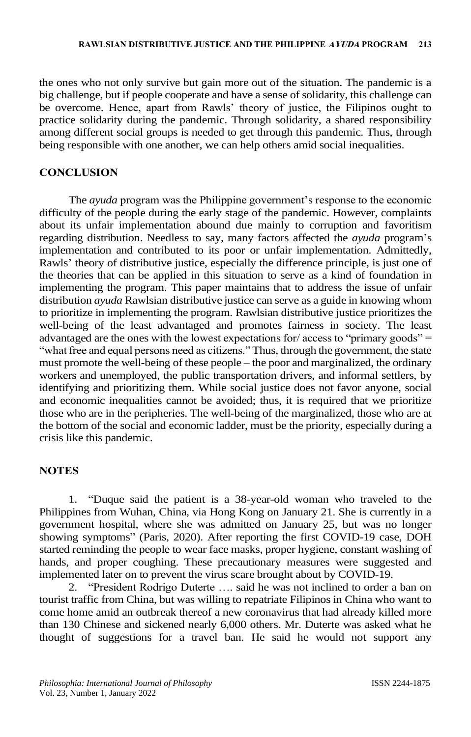the ones who not only survive but gain more out of the situation. The pandemic is a big challenge, but if people cooperate and have a sense of solidarity, this challenge can be overcome. Hence, apart from Rawls' theory of justice, the Filipinos ought to practice solidarity during the pandemic. Through solidarity, a shared responsibility among different social groups is needed to get through this pandemic. Thus, through being responsible with one another, we can help others amid social inequalities.

#### **CONCLUSION**

The *ayuda* program was the Philippine government's response to the economic difficulty of the people during the early stage of the pandemic. However, complaints about its unfair implementation abound due mainly to corruption and favoritism regarding distribution. Needless to say, many factors affected the *ayuda* program's implementation and contributed to its poor or unfair implementation. Admittedly, Rawls' theory of distributive justice, especially the difference principle, is just one of the theories that can be applied in this situation to serve as a kind of foundation in implementing the program. This paper maintains that to address the issue of unfair distribution *ayuda* Rawlsian distributive justice can serve as a guide in knowing whom to prioritize in implementing the program. Rawlsian distributive justice prioritizes the well-being of the least advantaged and promotes fairness in society. The least advantaged are the ones with the lowest expectations for/ access to "primary goods" = "what free and equal persons need as citizens." Thus, through the government, the state must promote the well-being of these people – the poor and marginalized, the ordinary workers and unemployed, the public transportation drivers, and informal settlers, by identifying and prioritizing them. While social justice does not favor anyone, social and economic inequalities cannot be avoided; thus, it is required that we prioritize those who are in the peripheries. The well-being of the marginalized, those who are at the bottom of the social and economic ladder, must be the priority, especially during a crisis like this pandemic.

#### **NOTES**

1. "Duque said the patient is a 38-year-old woman who traveled to the Philippines from Wuhan, China, via Hong Kong on January 21. She is currently in a government hospital, where she was admitted on January 25, but was no longer showing symptoms" (Paris, 2020). After reporting the first COVID-19 case, DOH started reminding the people to wear face masks, proper hygiene, constant washing of hands, and proper coughing. These precautionary measures were suggested and implemented later on to prevent the virus scare brought about by COVID-19.

2. "President Rodrigo Duterte …. said he was not inclined to order a ban on tourist traffic from China, but was willing to repatriate Filipinos in China who want to come home amid an outbreak thereof a new coronavirus that had already killed more than 130 Chinese and sickened nearly 6,000 others. Mr. Duterte was asked what he thought of suggestions for a travel ban. He said he would not support any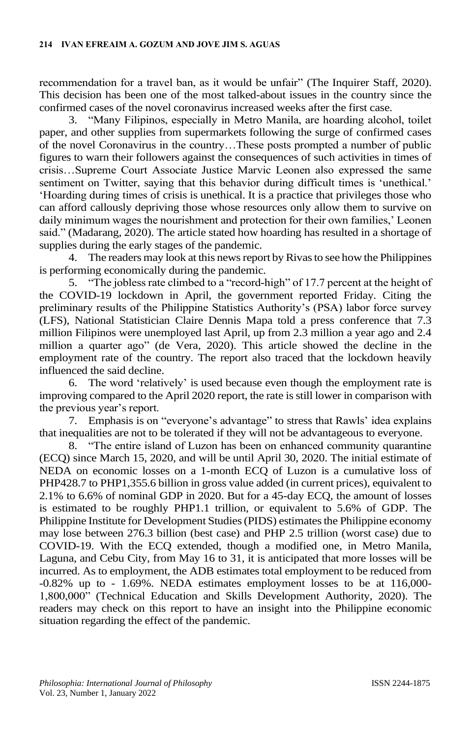recommendation for a travel ban, as it would be unfair" (The Inquirer Staff, 2020). This decision has been one of the most talked-about issues in the country since the confirmed cases of the novel coronavirus increased weeks after the first case.

3. "Many Filipinos, especially in Metro Manila, are hoarding alcohol, toilet paper, and other supplies from supermarkets following the surge of confirmed cases of the novel Coronavirus in the country…These posts prompted a number of public figures to warn their followers against the consequences of such activities in times of crisis…Supreme Court Associate Justice Marvic Leonen also expressed the same sentiment on Twitter, saying that this behavior during difficult times is 'unethical.' 'Hoarding during times of crisis is unethical. It is a practice that privileges those who can afford callously depriving those whose resources only allow them to survive on daily minimum wages the nourishment and protection for their own families,' Leonen said." (Madarang, 2020). The article stated how hoarding has resulted in a shortage of supplies during the early stages of the pandemic.

4. The readers may look at this news report by Rivasto see how the Philippines is performing economically during the pandemic.

5. "The jobless rate climbed to a "record-high" of 17.7 percent at the height of the COVID-19 lockdown in April, the government reported Friday. Citing the preliminary results of the Philippine Statistics Authority's (PSA) labor force survey (LFS), National Statistician Claire Dennis Mapa told a press conference that 7.3 million Filipinos were unemployed last April, up from 2.3 million a year ago and 2.4 million a quarter ago" (de Vera, 2020). This article showed the decline in the employment rate of the country. The report also traced that the lockdown heavily influenced the said decline.

6. The word 'relatively' is used because even though the employment rate is improving compared to the April 2020 report, the rate is still lower in comparison with the previous year's report.

7. Emphasis is on "everyone's advantage" to stress that Rawls' idea explains that inequalities are not to be tolerated if they will not be advantageous to everyone.

8. "The entire island of Luzon has been on enhanced community quarantine (ECQ) since March 15, 2020, and will be until April 30, 2020. The initial estimate of NEDA on economic losses on a 1-month ECQ of Luzon is a cumulative loss of PHP428.7 to PHP1,355.6 billion in gross value added (in current prices), equivalent to 2.1% to 6.6% of nominal GDP in 2020. But for a 45-day ECQ, the amount of losses is estimated to be roughly PHP1.1 trillion, or equivalent to 5.6% of GDP. The Philippine Institute for Development Studies (PIDS) estimates the Philippine economy may lose between 276.3 billion (best case) and PHP 2.5 trillion (worst case) due to COVID-19. With the ECQ extended, though a modified one, in Metro Manila, Laguna, and Cebu City, from May 16 to 31, it is anticipated that more losses will be incurred. As to employment, the ADB estimates total employment to be reduced from -0.82% up to - 1.69%. NEDA estimates employment losses to be at 116,000- 1,800,000" (Technical Education and Skills Development Authority, 2020). The readers may check on this report to have an insight into the Philippine economic situation regarding the effect of the pandemic.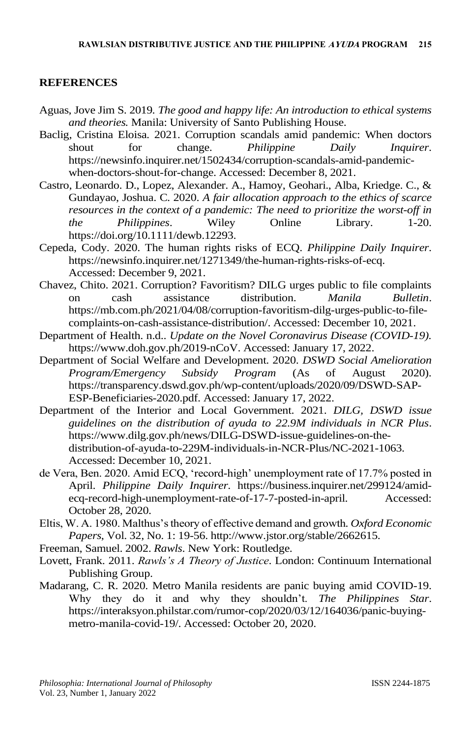### **REFERENCES**

- Aguas, Jove Jim S. 2019*. The good and happy life: An introduction to ethical systems and theories.* Manila: University of Santo Publishing House.
- Baclig, Cristina Eloisa. 2021. Corruption scandals amid pandemic: When doctors shout for change. *Philippine Daily Inquirer*. https://newsinfo.inquirer.net/1502434/corruption-scandals-amid-pandemicwhen-doctors-shout-for-change. Accessed: December 8, 2021.
- Castro, Leonardo. D., Lopez, Alexander. A., Hamoy, Geohari., Alba, Kriedge. C., & Gundayao, Joshua. C. 2020. *A fair allocation approach to the ethics of scarce resources in the context of a pandemic: The need to prioritize the worst-off in the Philippines*. Wiley Online Library. 1-20. https://doi.org/10.1111/dewb.12293.
- Cepeda, Cody. 2020. The human rights risks of ECQ. *Philippine Daily Inquirer*. https://newsinfo.inquirer.net/1271349/the-human-rights-risks-of-ecq. Accessed: December 9, 2021.
- Chavez, Chito. 2021. Corruption? Favoritism? DILG urges public to file complaints on cash assistance distribution. *Manila Bulletin*. https://mb.com.ph/2021/04/08/corruption-favoritism-dilg-urges-public-to-filecomplaints-on-cash-assistance-distribution/. Accessed: December 10, 2021.
- Department of Health. n.d.. *Update on the Novel Coronavirus Disease (COVID-19).*  https://www.doh.gov.ph/2019-nCoV. Accessed: January 17, 2022.
- Department of Social Welfare and Development. 2020. *DSWD Social Amelioration Program/Emergency Subsidy Program* (As of August 2020). https://transparency.dswd.gov.ph/wp-content/uploads/2020/09/DSWD-SAP-ESP-Beneficiaries-2020.pdf. Accessed: January 17, 2022.
- Department of the Interior and Local Government. 2021. *DILG, DSWD issue guidelines on the distribution of ayuda to 22.9M individuals in NCR Plus*. https://www.dilg.gov.ph/news/DILG-DSWD-issue-guidelines-on-thedistribution-of-ayuda-to-229M-individuals-in-NCR-Plus/NC-2021-1063. Accessed: December 10, 2021.
- de Vera, Ben. 2020. Amid ECQ, 'record-high' unemployment rate of 17.7% posted in April. *Philippine Daily Inquirer*. https://business.inquirer.net/299124/amidecq-record-high-unemployment-rate-of-17-7-posted-in-april. Accessed: October 28, 2020.
- Eltis, W. A. 1980. Malthus's theory of effective demand and growth*. Oxford Economic Papers*, Vol. 32, No. 1: 19-56. http://www.jstor.org/stable/2662615.
- Freeman, Samuel. 2002. *Rawls*. New York: Routledge.
- Lovett, Frank. 2011. *Rawls's A Theory of Justice*. London: Continuum International Publishing Group.
- Madarang, C. R. 2020. Metro Manila residents are panic buying amid COVID-19. Why they do it and why they shouldn't. *The Philippines Star*. https://interaksyon.philstar.com/rumor-cop/2020/03/12/164036/panic-buyingmetro-manila-covid-19/. Accessed: October 20, 2020.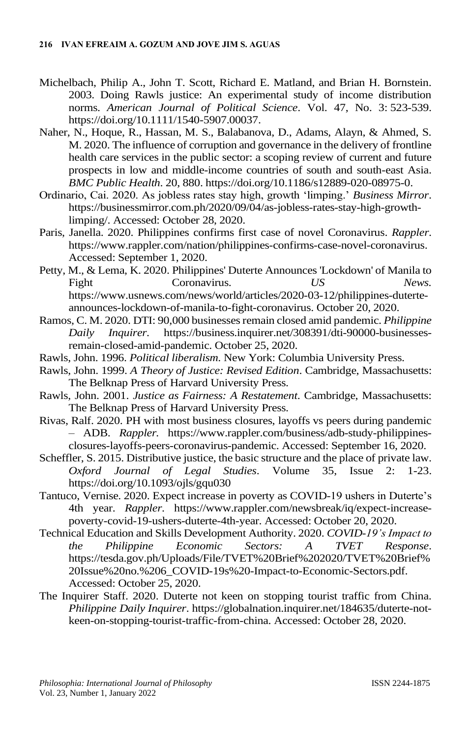- Michelbach, Philip A., John T. Scott, Richard E. Matland, and Brian H. Bornstein. 2003. Doing Rawls justice: An experimental study of income distribution norms. *American Journal of Political Science*. Vol. 47, No. 3: 523-539. https://doi.org/10.1111/1540-5907.00037.
- Naher, N., Hoque, R., Hassan, M. S., Balabanova, D., Adams, Alayn, & Ahmed, S. M. 2020. The influence of corruption and governance in the delivery of frontline health care services in the public sector: a scoping review of current and future prospects in low and middle-income countries of south and south-east Asia. *BMC Public Health*. 20, 880. https://doi.org/10.1186/s12889-020-08975-0.
- Ordinario, Cai. 2020. As jobless rates stay high, growth 'limping.' *Business Mirror*. https://businessmirror.com.ph/2020/09/04/as-jobless-rates-stay-high-growthlimping/. Accessed: October 28, 2020.
- Paris, Janella. 2020. Philippines confirms first case of novel Coronavirus. *Rappler*. https://www.rappler.com/nation/philippines-confirms-case-novel-coronavirus. Accessed: September 1, 2020.
- Petty, M., & Lema, K. 2020. Philippines' Duterte Announces 'Lockdown' of Manila to Fight Coronavirus. *US News.*  https://www.usnews.com/news/world/articles/2020-03-12/philippines-duterteannounces-lockdown-of-manila-to-fight-coronavirus. October 20, 2020.
- Ramos, C. M. 2020. DTI: 90,000 businesses remain closed amid pandemic. *Philippine Daily Inquirer*. https://business.inquirer.net/308391/dti-90000-businessesremain-closed-amid-pandemic. October 25, 2020.
- Rawls, John. 1996. *Political liberalism*. New York: Columbia University Press.
- Rawls, John. 1999. *A Theory of Justice: Revised Edition*. Cambridge, Massachusetts: The Belknap Press of Harvard University Press.
- Rawls, John. 2001. *Justice as Fairness: A Restatement*. Cambridge, Massachusetts: The Belknap Press of Harvard University Press.
- Rivas, Ralf. 2020. PH with most business closures, layoffs vs peers during pandemic – ADB. *Rappler.* https://www.rappler.com/business/adb-study-philippinesclosures-layoffs-peers-coronavirus-pandemic. Accessed: September 16, 2020.
- Scheffler, S. 2015. Distributive justice, the basic structure and the place of private law. *Oxford Journal of Legal Studies*. Volume 35, Issue 2: 1-23. https://doi.org/10.1093/ojls/gqu030
- Tantuco, Vernise. 2020. Expect increase in poverty as COVID-19 ushers in Duterte's 4th year. *Rappler*. https://www.rappler.com/newsbreak/iq/expect-increasepoverty-covid-19-ushers-duterte-4th-year. Accessed: October 20, 2020.
- Technical Education and Skills Development Authority. 2020. *COVID-19's Impact to the Philippine Economic Sectors: A TVET Response*. https://tesda.gov.ph/Uploads/File/TVET%20Brief%202020/TVET%20Brief% 20Issue%20no.%206\_COVID-19s%20-Impact-to-Economic-Sectors.pdf. Accessed: October 25, 2020.
- The Inquirer Staff. 2020. Duterte not keen on stopping tourist traffic from China. *Philippine Daily Inquirer*. https://globalnation.inquirer.net/184635/duterte-notkeen-on-stopping-tourist-traffic-from-china. Accessed: October 28, 2020.